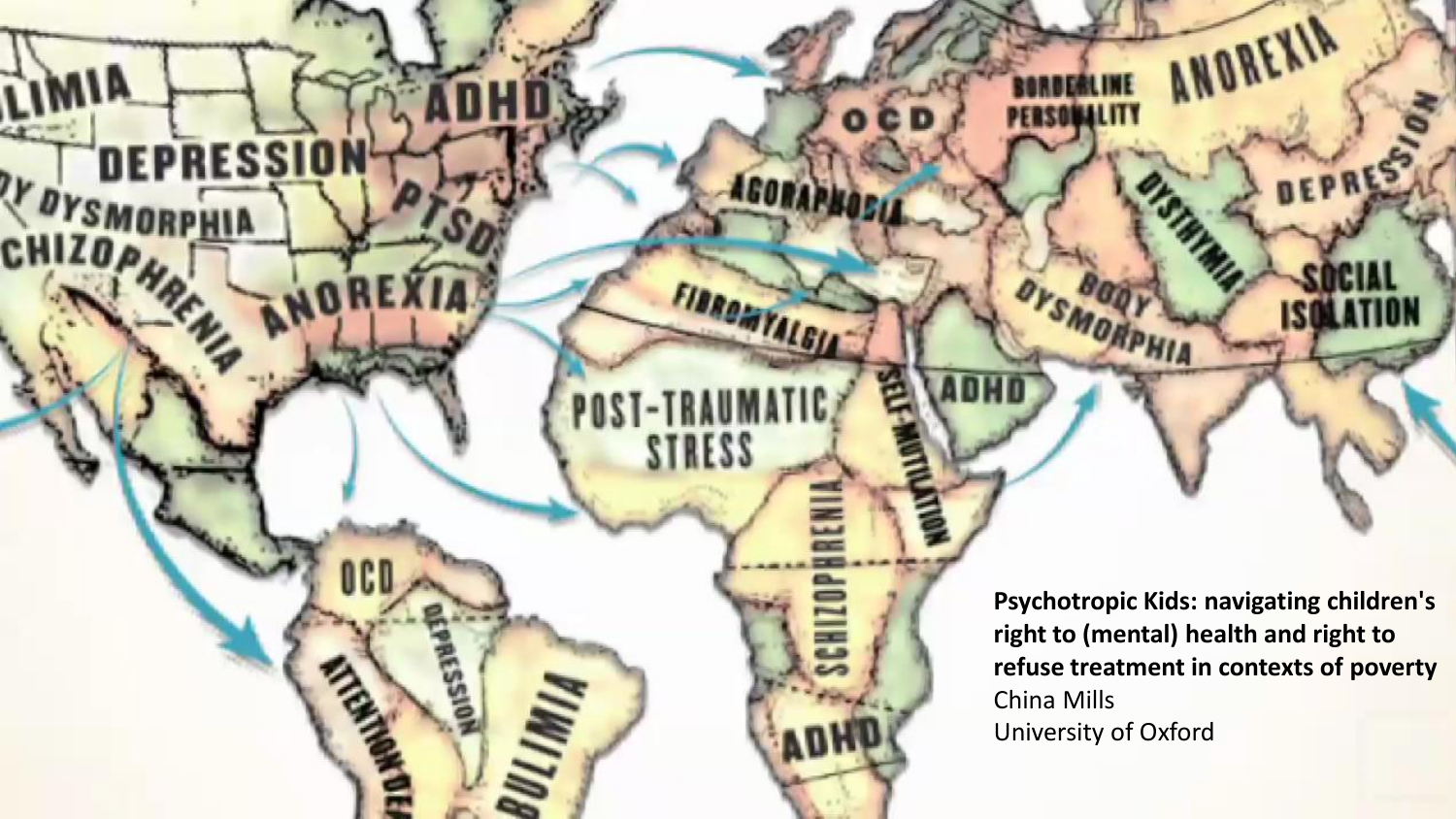**Psychotropic Kids: navigating children's right to (mental) health and right to refuse treatment in contexts of poverty** China Mills University of Oxford

OYSMORPHIA

FIBROMYALGIA

SCHI

**STRESS** 

ANOREXIA

**DEPRES** 

IJ

AFS210

TY DYSMORPHIA

**CHIZOP**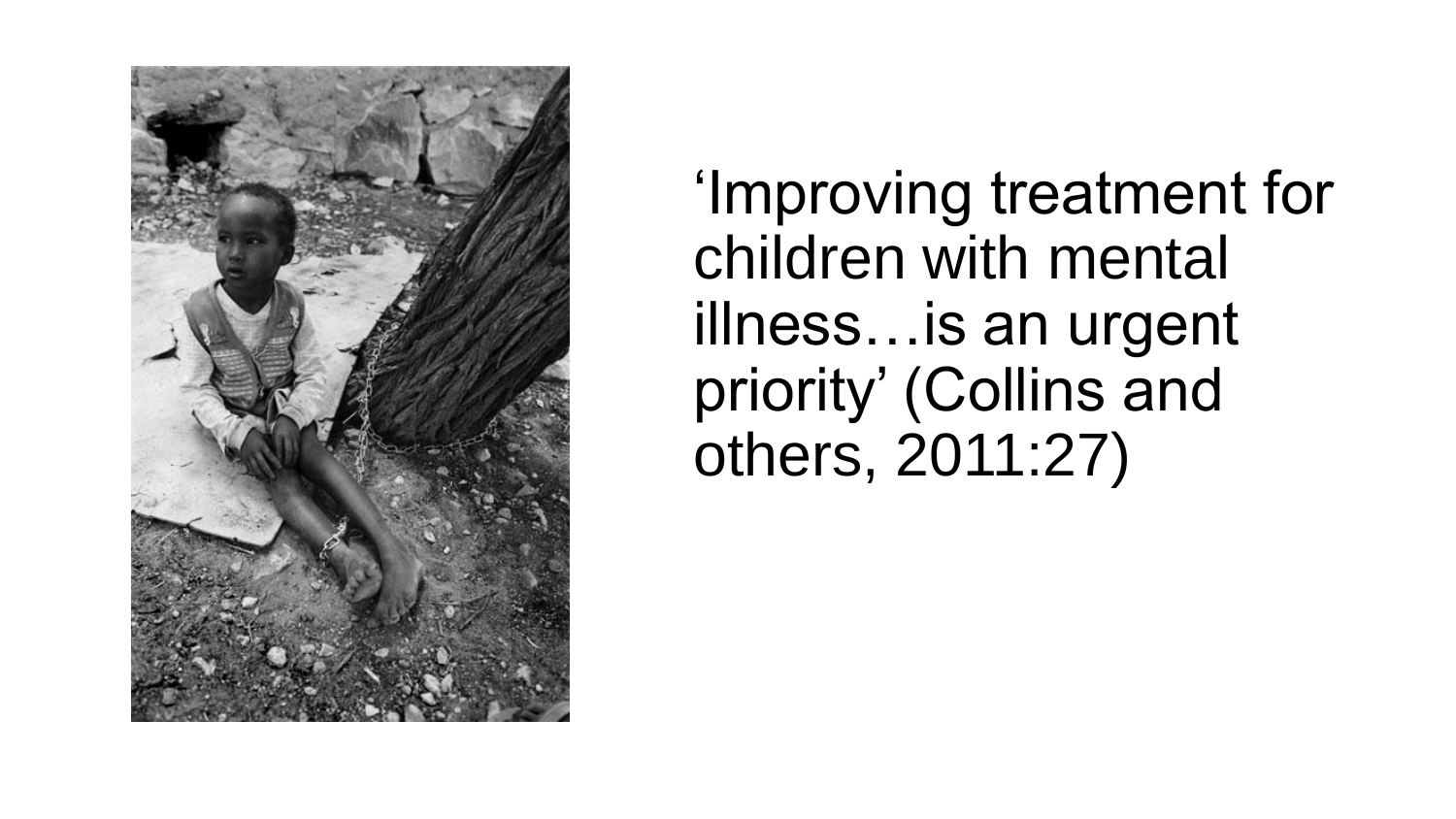

'Improving treatment for children with mental illness…is an urgent priority' (Collins and others, 2011:27)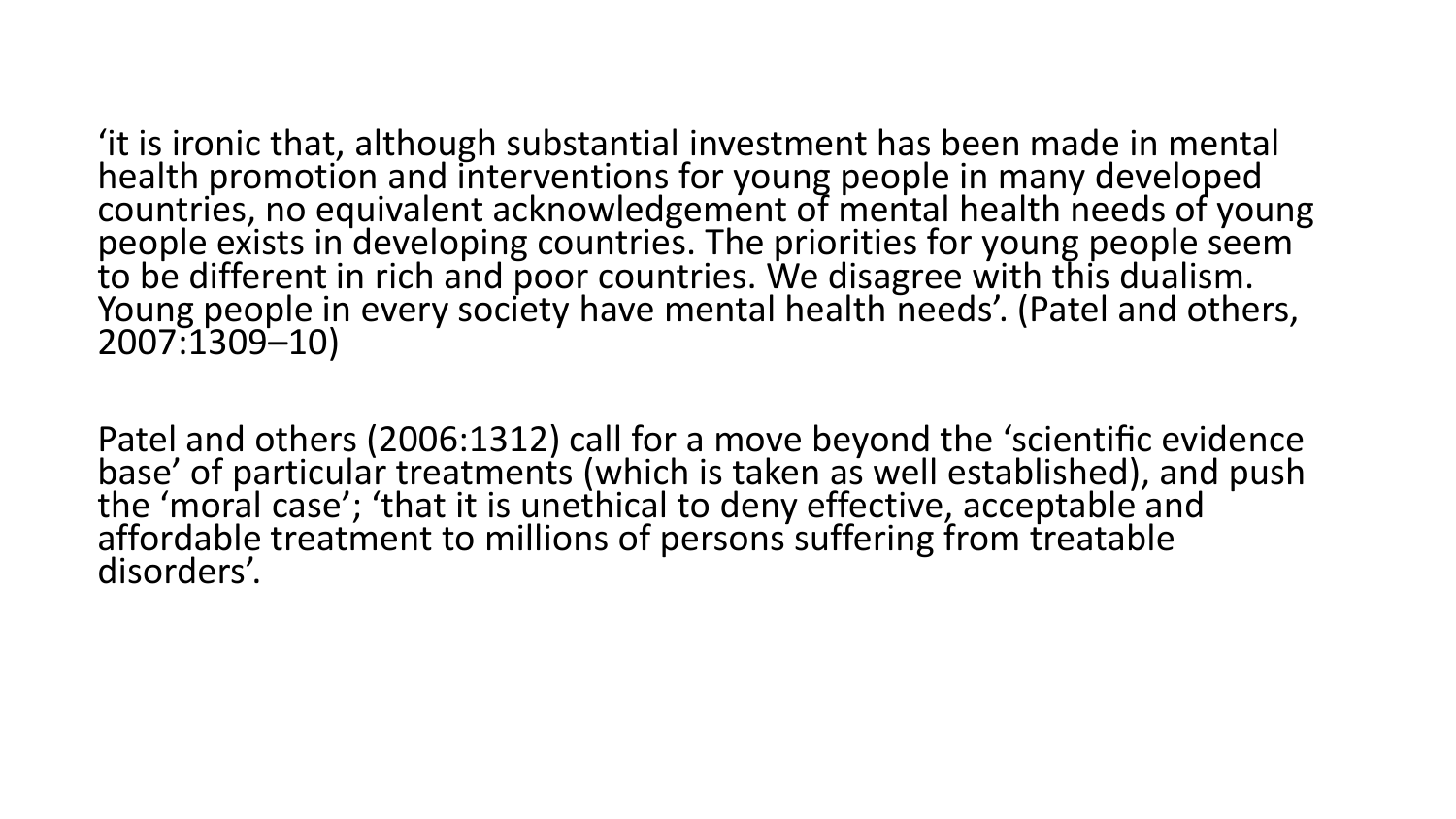'it is ironic that, although substantial investment has been made in mental health promotion and interventions for young people in many developed countries, no equivalent acknowledgement of mental health needs of young people exists in developing countries. The priorities for young people seem to be different in rich and poor countries. We disagree with this dualism. Young people in every society have mental health needs'. (Patel and others, 2007:1309–10)

Patel and others (2006:1312) call for a move beyond the 'scientific evidence base' of particular treatments (which is taken as well established), and push the 'moral case'; 'that it is unethical to deny effective, acceptable and affordable treatment to millions of persons suffering from treatable disorders'.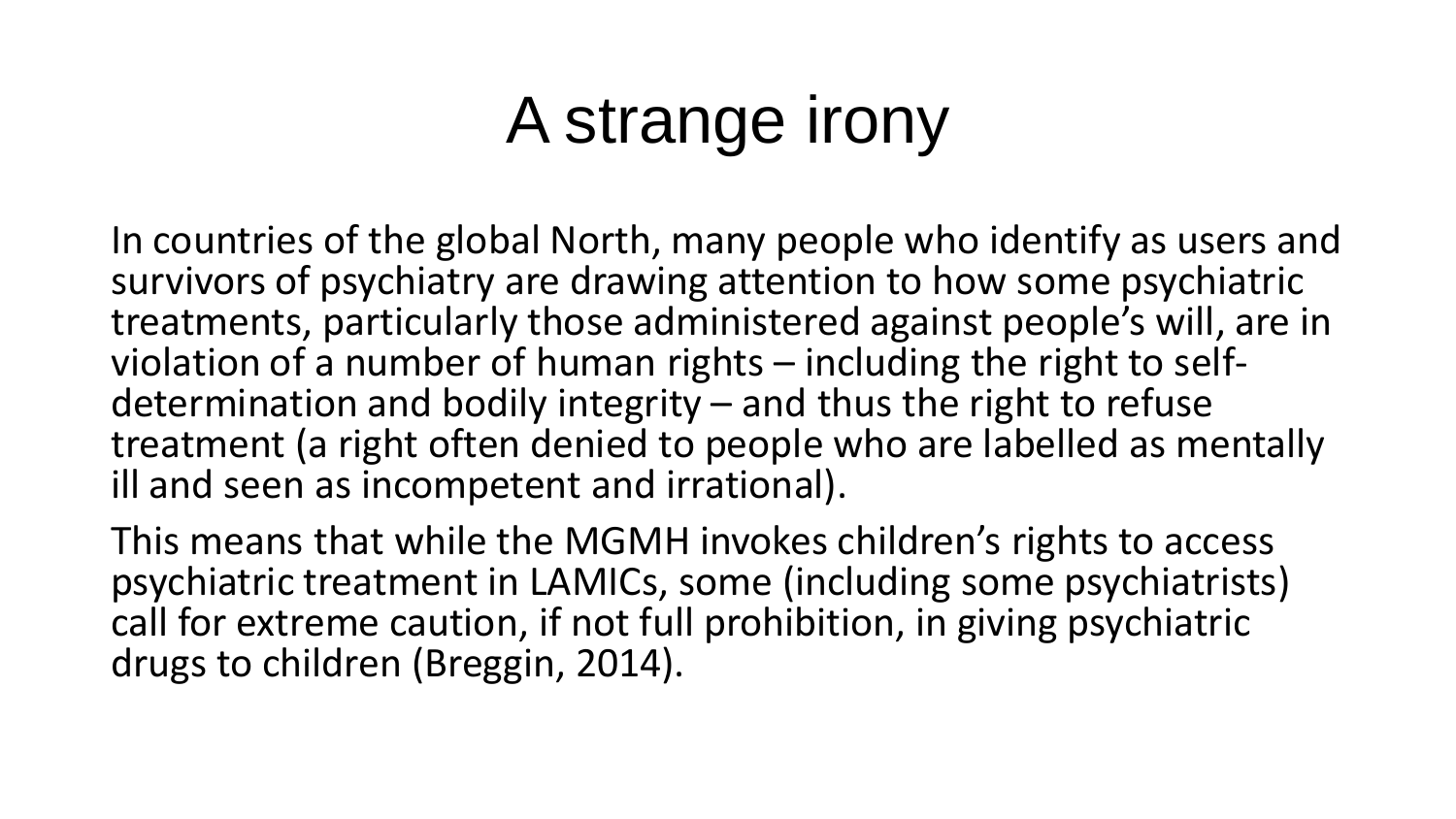# A strange irony

In countries of the global North, many people who identify as users and survivors of psychiatry are drawing attention to how some psychiatric treatments, particularly those administered against people's will, are in violation of a number of human rights – including the right to selfdetermination and bodily integrity – and thus the right to refuse treatment (a right often denied to people who are labelled as mentally ill and seen as incompetent and irrational).

This means that while the MGMH invokes children's rights to access psychiatric treatment in LAMICs, some (including some psychiatrists) call for extreme caution, if not full prohibition, in giving psychiatric drugs to children (Breggin, 2014).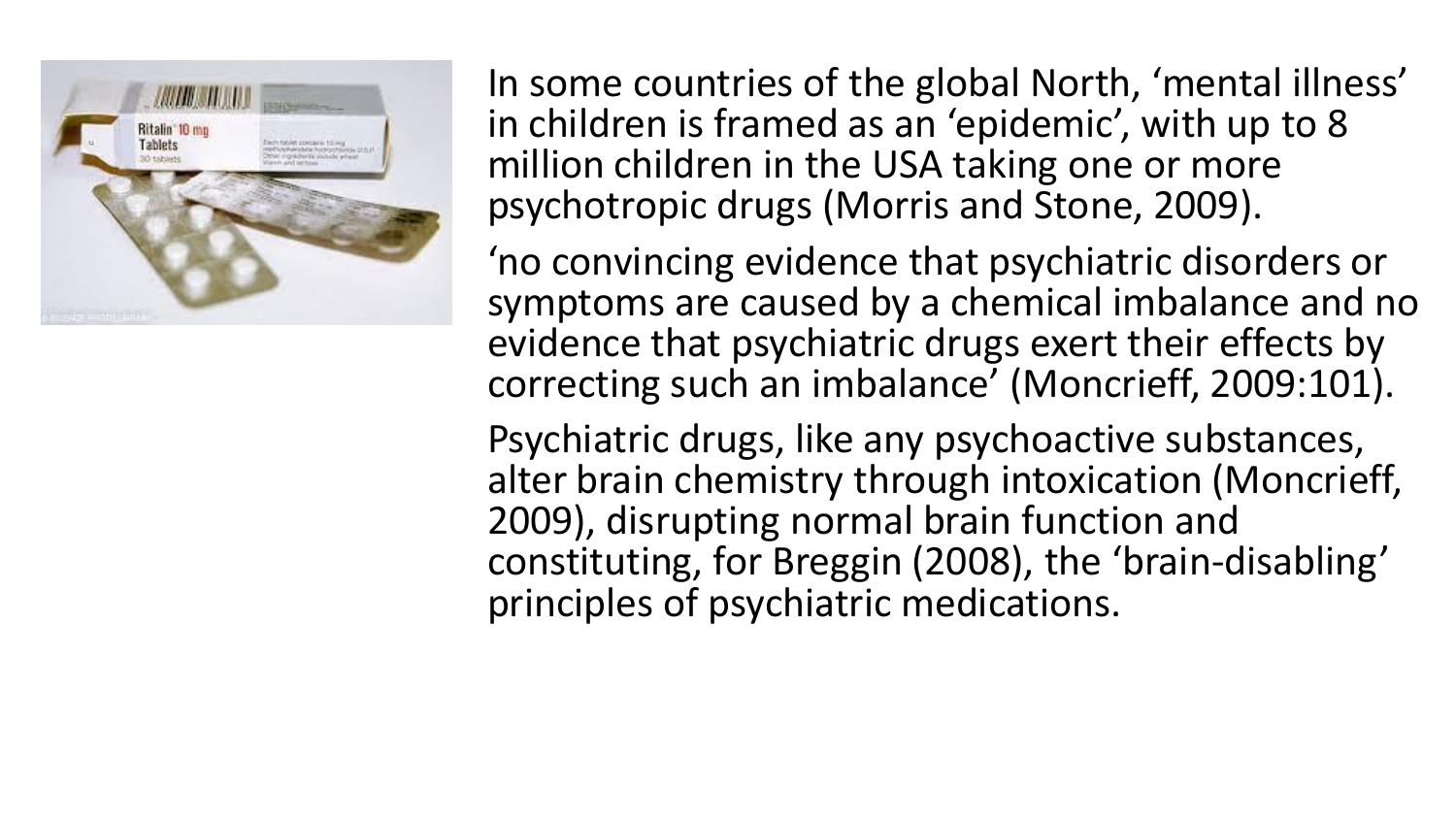

In some countries of the global North, 'mental illness' in children is framed as an 'epidemic', with up to 8 million children in the USA taking one or more psychotropic drugs (Morris and Stone, 2009).

'no convincing evidence that psychiatric disorders or symptoms are caused by a chemical imbalance and no evidence that psychiatric drugs exert their effects by correcting such an imbalance' (Moncrieff, 2009:101).

Psychiatric drugs, like any psychoactive substances, alter brain chemistry through intoxication (Moncrieff, 2009), disrupting normal brain function and constituting, for Breggin (2008), the 'brain-disabling' principles of psychiatric medications.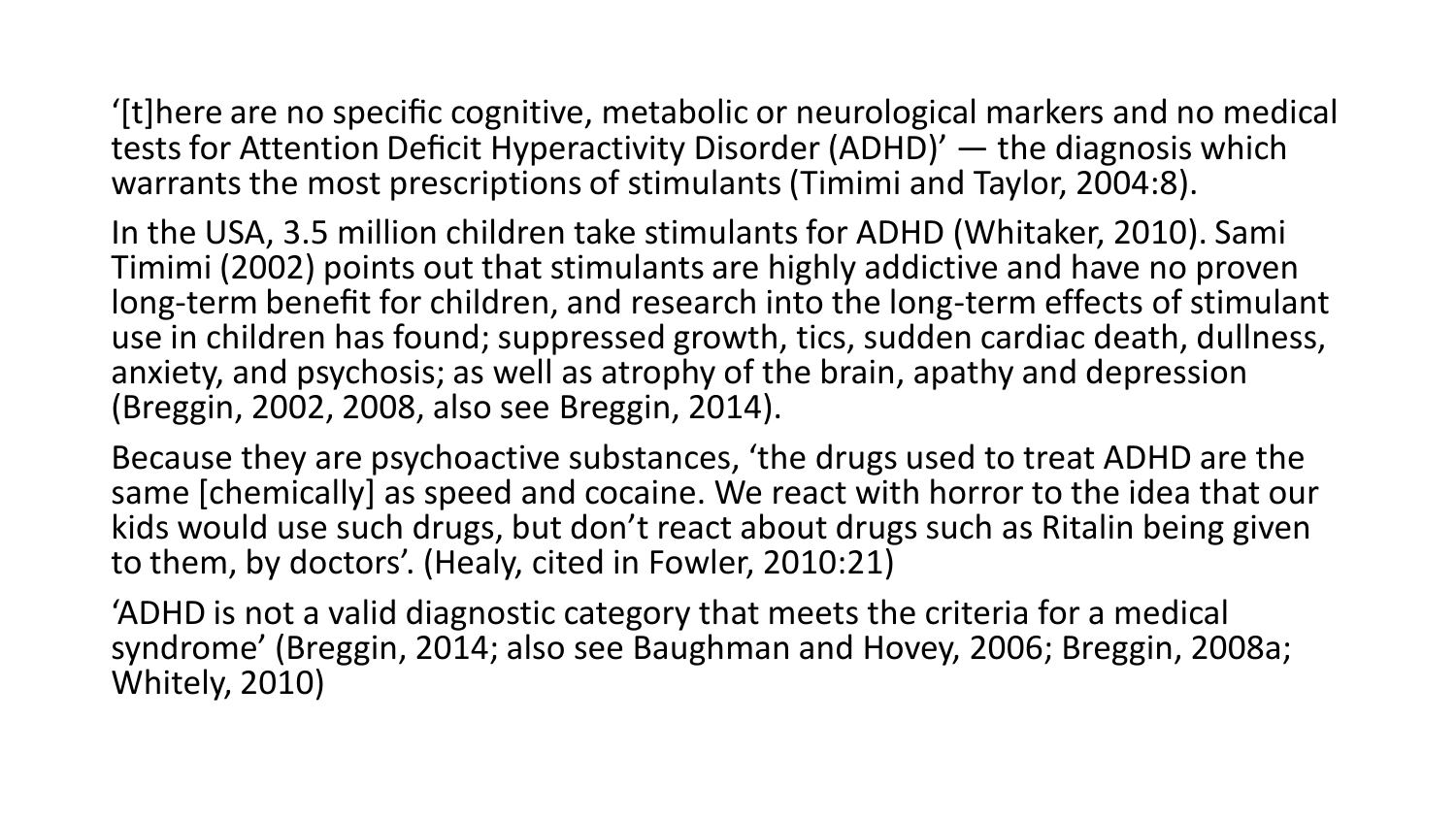'[t]here are no specific cognitive, metabolic or neurological markers and no medical tests for Attention Deficit Hyperactivity Disorder (ADHD)' — the diagnosis which warrants the most prescriptions of stimulants (Timimi and Taylor, 2004:8).

In the USA, 3.5 million children take stimulants for ADHD (Whitaker, 2010). Sami Timimi (2002) points out that stimulants are highly addictive and have no proven long-term benefit for children, and research into the long-term effects of stimulant use in children has found; suppressed growth, tics, sudden cardiac death, dullness, anxiety, and psychosis; as well as atrophy of the brain, apathy and depression (Breggin, 2002, 2008, also see Breggin, 2014).

Because they are psychoactive substances, 'the drugs used to treat ADHD are the same [chemically] as speed and cocaine. We react with horror to the idea that our kids would use such drugs, but don't react about drugs such as Ritalin being given to them, by doctors'. (Healy, cited in Fowler, 2010:21)

'ADHD is not a valid diagnostic category that meets the criteria for a medical syndrome' (Breggin, 2014; also see Baughman and Hovey, 2006; Breggin, 2008a; Whitely, 2010)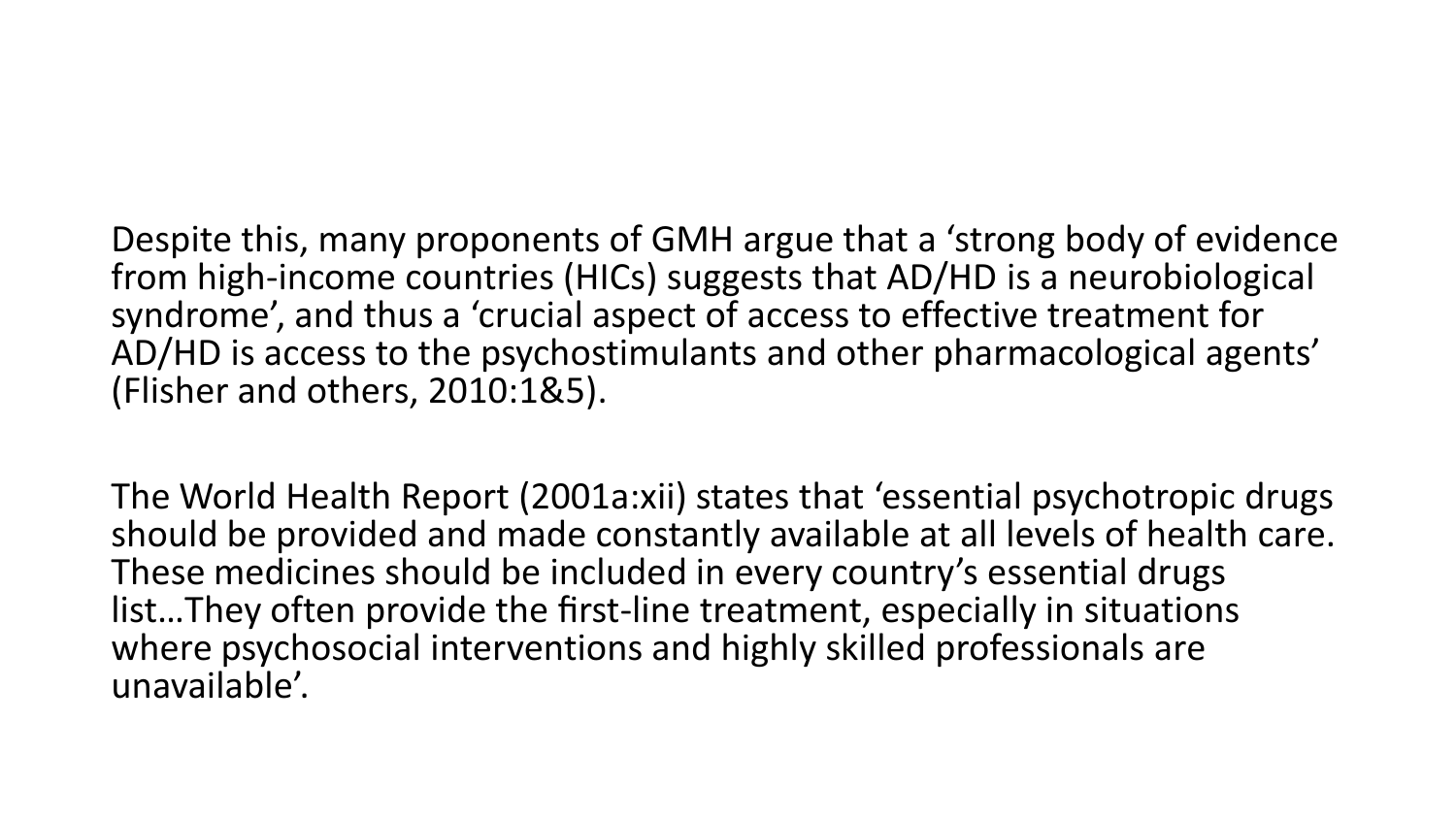Despite this, many proponents of GMH argue that a 'strong body of evidence from high-income countries (HICs) suggests that AD/HD is a neurobiological syndrome', and thus a 'crucial aspect of access to effective treatment for AD/HD is access to the psychostimulants and other pharmacological agents' (Flisher and others, 2010:1&5).

The World Health Report (2001a:xii) states that 'essential psychotropic drugs should be provided and made constantly available at all levels of health care. These medicines should be included in every country's essential drugs list…They often provide the first-line treatment, especially in situations where psychosocial interventions and highly skilled professionals are unavailable'.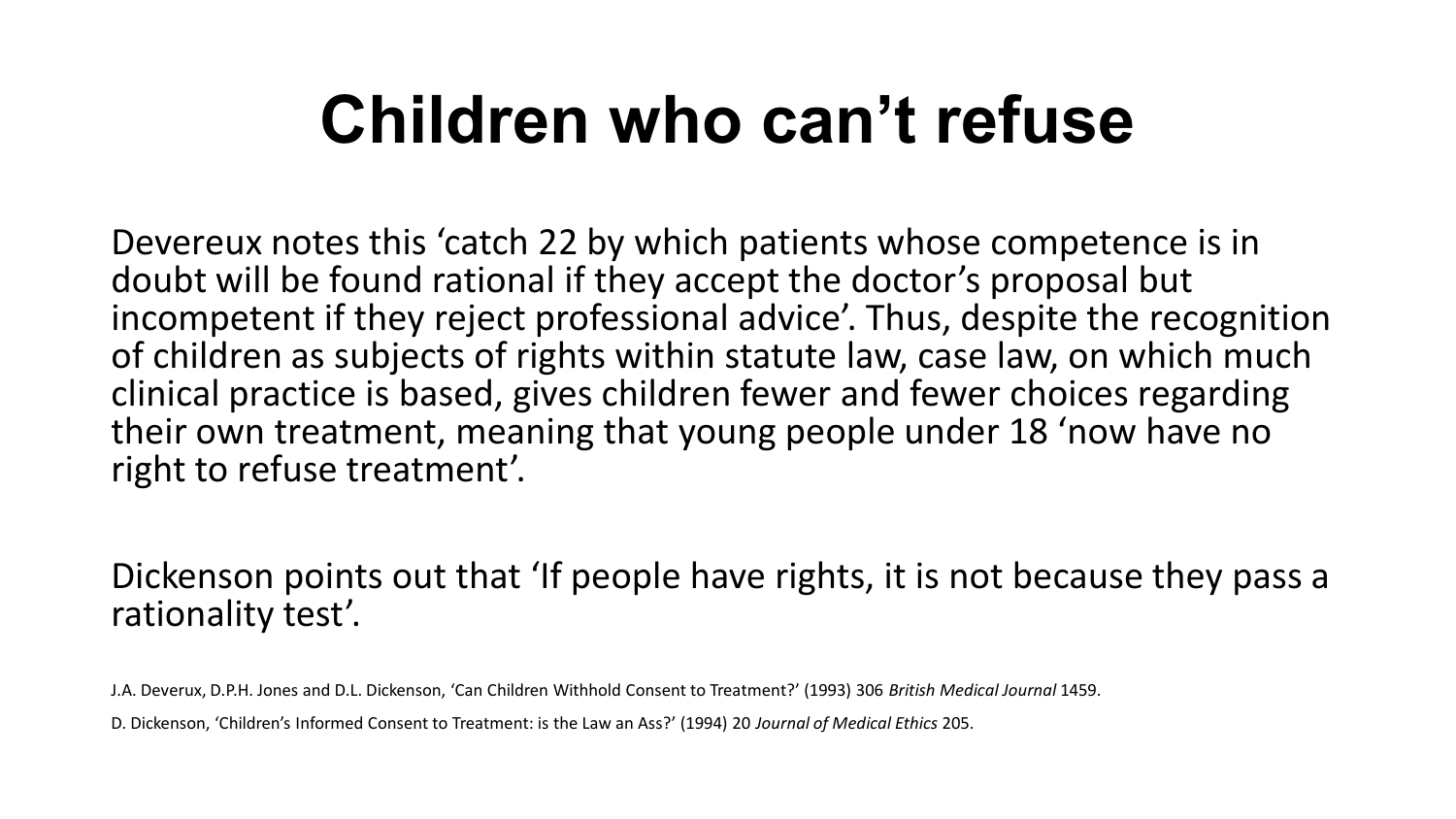# **Children who can't refuse**

Devereux notes this 'catch 22 by which patients whose competence is in doubt will be found rational if they accept the doctor's proposal but incompetent if they reject professional advice'. Thus, despite the recognition of children as subjects of rights within statute law, case law, on which much clinical practice is based, gives children fewer and fewer choices regarding their own treatment, meaning that young people under 18 'now have no right to refuse treatment'.

Dickenson points out that 'If people have rights, it is not because they pass a rationality test'.

J.A. Deverux, D.P.H. Jones and D.L. Dickenson, 'Can Children Withhold Consent to Treatment?' (1993) 306 *British Medical Journal* 1459.

D. Dickenson, 'Children's Informed Consent to Treatment: is the Law an Ass?' (1994) 20 *Journal of Medical Ethics* 205.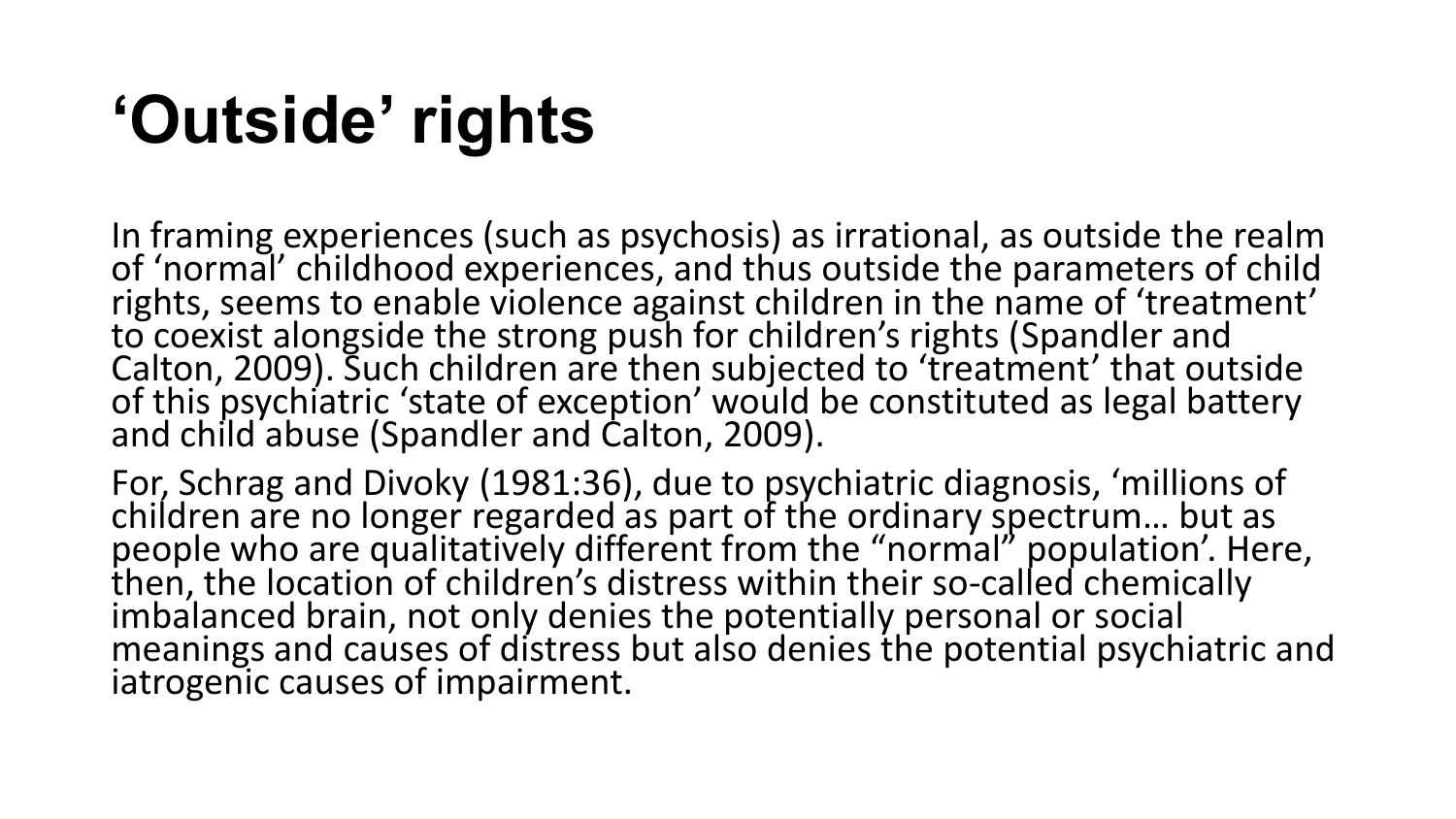# **'Outside' rights**

In framing experiences (such as psychosis) as irrational, as outside the realm of 'normal' childhood experiences, and thus outside the parameters of child rights, seems to enable violence against children in the name of 'treatment' to coexist alongside the strong push for children's rights (Spandler and Calton, 2009). Such children are then subjected to 'treatment' that outside of this psychiatric 'state of exception' would be constituted as legal battery and child abuse (Spandler and Calton, 2009).

For, Schrag and Divoky (1981:36), due to psychiatric diagnosis, 'millions of children are no longer regarded as part of the ordinary spectrum... but as people who are qualitatively different from the "normal" population'. Here, then, the location of children's distress within their so-called chemically imbalanced brain, not only denies the potentially personal or social meanings and causes of distress but also denies the potential psychiatric and iatrogenic causes of impairment.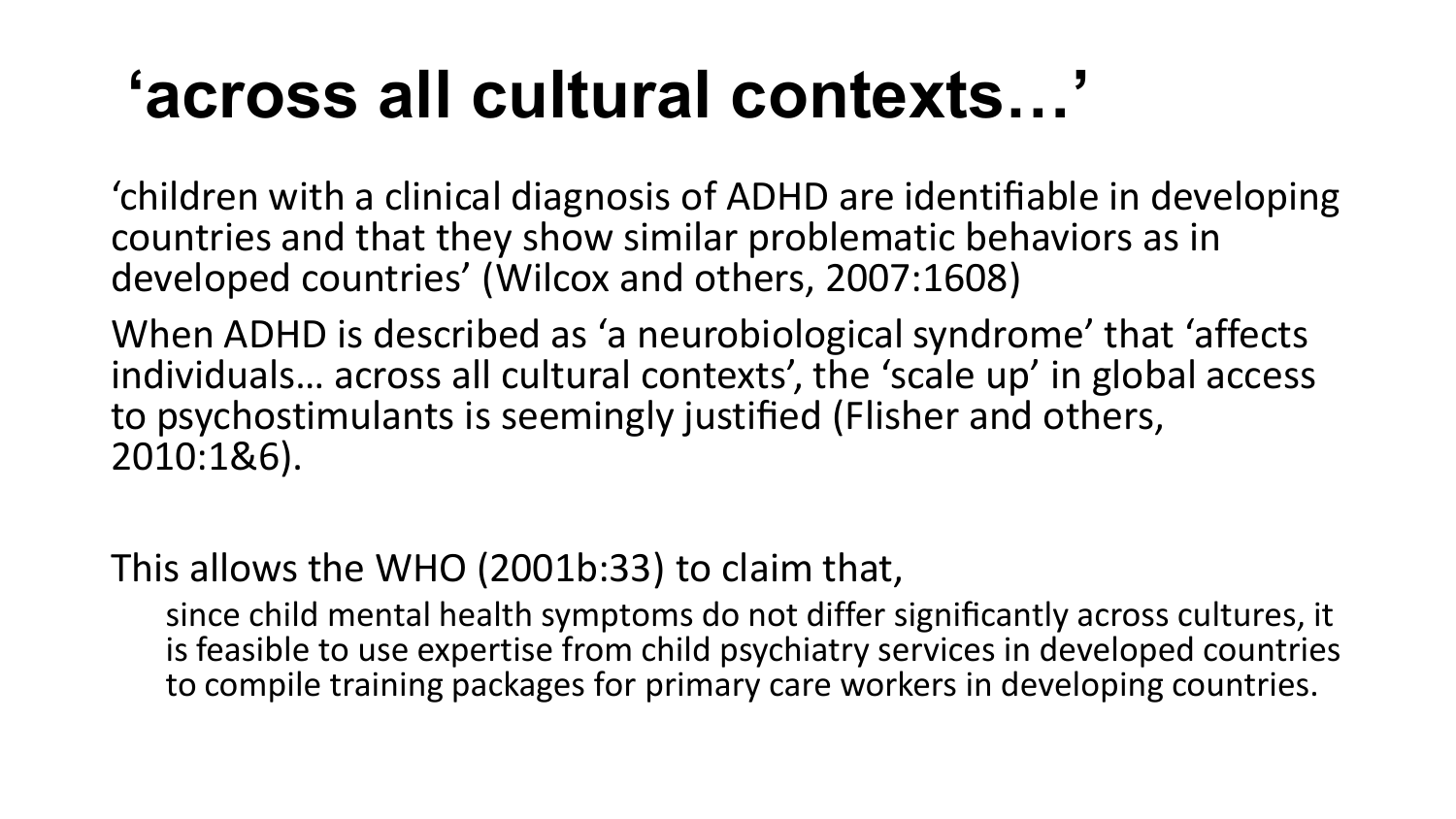# **'across all cultural contexts…'**

'children with a clinical diagnosis of ADHD are identifiable in developing countries and that they show similar problematic behaviors as in developed countries' (Wilcox and others, 2007:1608)

When ADHD is described as 'a neurobiological syndrome' that 'affects individuals… across all cultural contexts', the 'scale up' in global access to psychostimulants is seemingly justified (Flisher and others, 2010:1&6).

### This allows the WHO (2001b:33) to claim that,

since child mental health symptoms do not differ significantly across cultures, it is feasible to use expertise from child psychiatry services in developed countries to compile training packages for primary care workers in developing countries.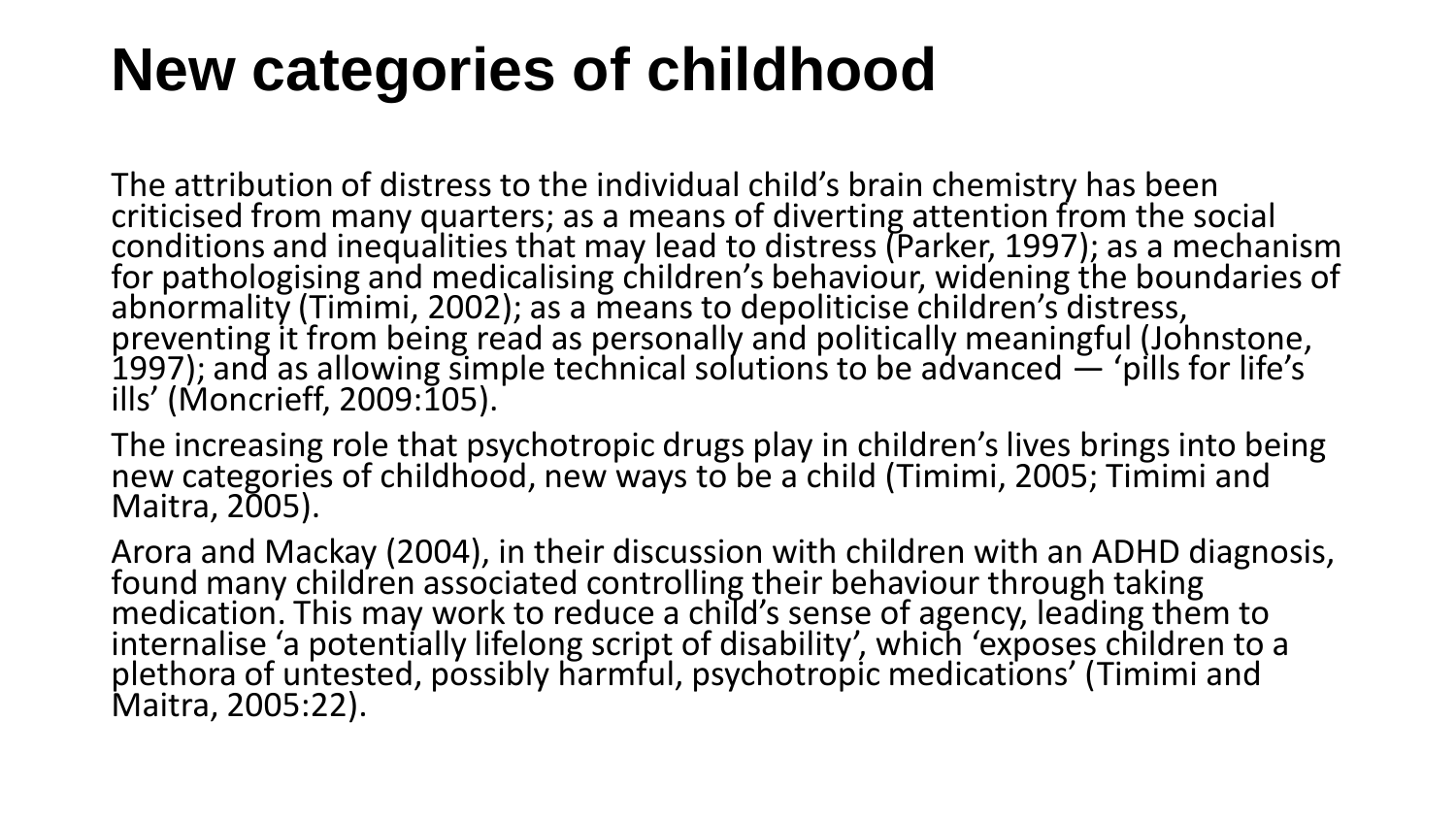## **New categories of childhood**

The attribution of distress to the individual child's brain chemistry has been criticised from many quarters; as a means of diverting attention from the social conditions and inequalities that may lead to distress (Parker, 1997); as a mechanism for pathologising and medicalising children's behaviour, widening the boundaries of abnormality (Timimi, 2002); as a means to depoliticise children's distress, preventing it from being read as personally and politically meaningful (Johnstone, 1997); and as allowing simple technical solutions to be advanced  $-$  'pills for life's ills' (Moncrieff, 2009:105).

The increasing role that psychotropic drugs play in children's lives brings into being new categories of childhood, new ways to be a child (Timimi, 2005; Timimi and Maitra, 2005).

Arora and Mackay (2004), in their discussion with children with an ADHD diagnosis, found many children associated controlling their behaviour through taking medication. This may work to reduce a child's sense of agency, leading them to internalise 'a potentially lifelong script of disability', which 'exposes children to a plethora of untested, possibly harmful, psychotropic medications' (Timimi and Maitra, 2005:22).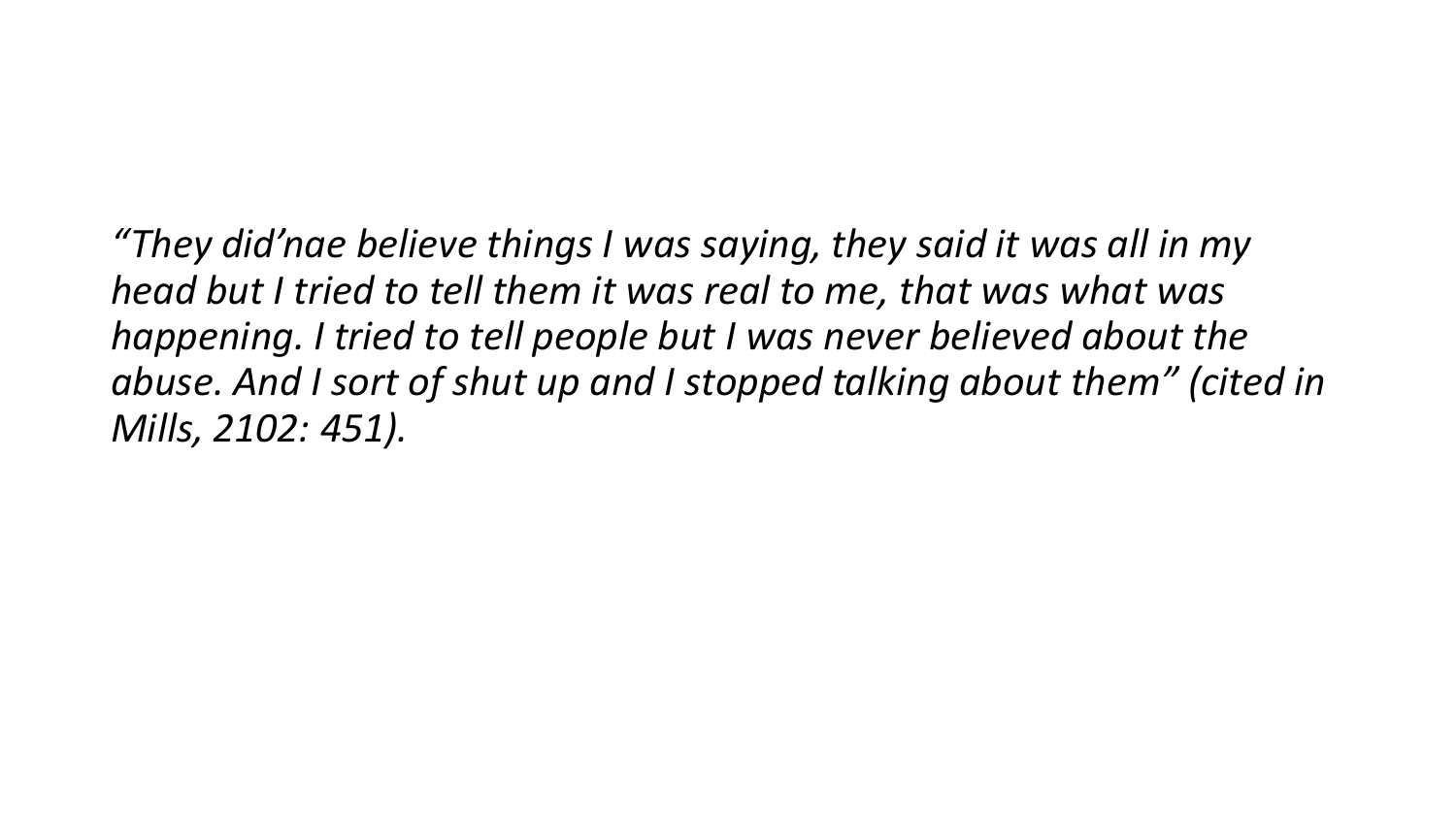*"They did'nae believe things I was saying, they said it was all in my head but I tried to tell them it was real to me, that was what was happening. I tried to tell people but I was never believed about the abuse. And I sort of shut up and I stopped talking about them" (cited in Mills, 2102: 451).*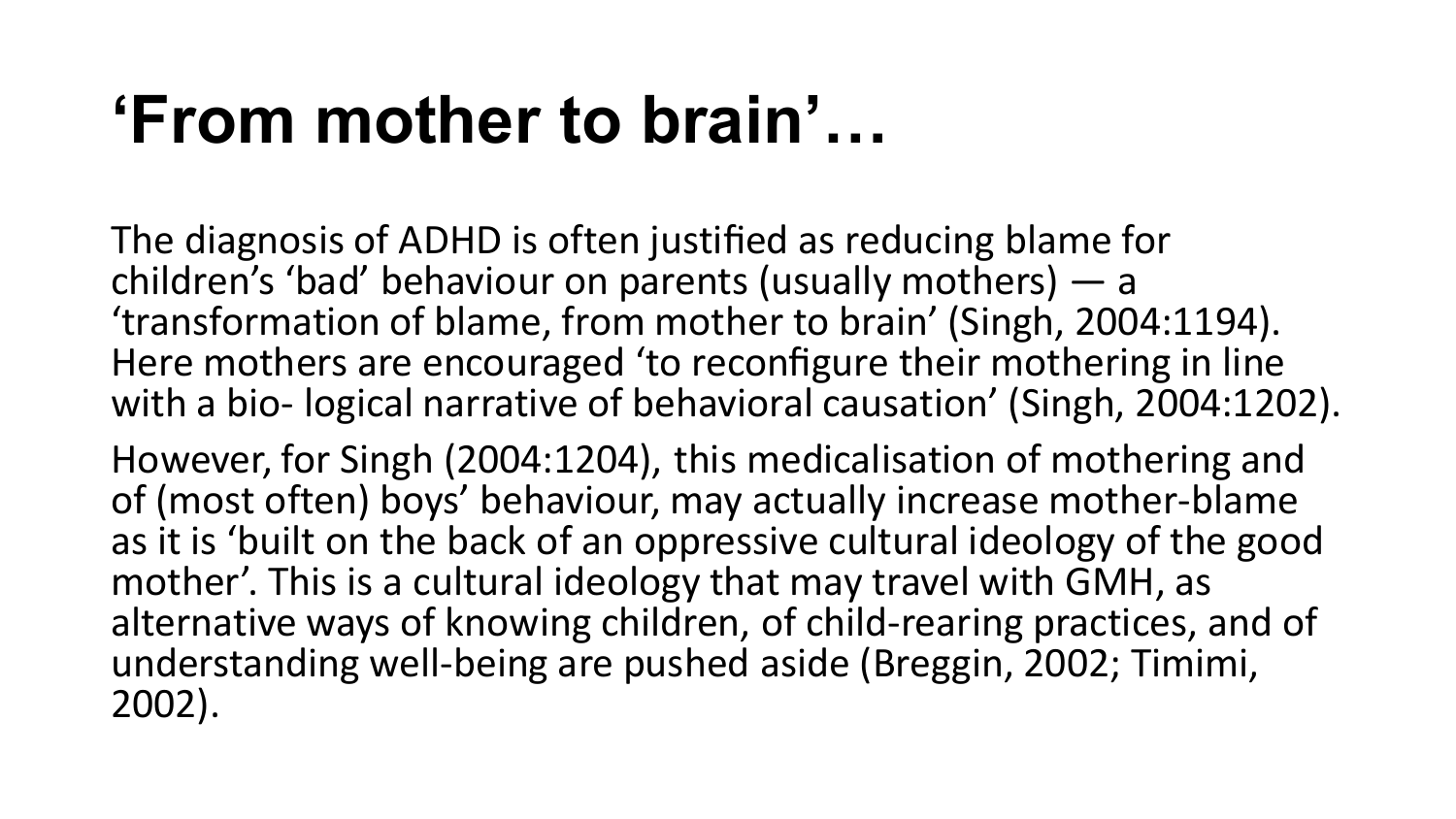# **'From mother to brain'…**

The diagnosis of ADHD is often justified as reducing blame for children's 'bad' behaviour on parents (usually mothers) — a 'transformation of blame, from mother to brain' (Singh, 2004:1194). Here mothers are encouraged 'to reconfigure their mothering in line with a bio- logical narrative of behavioral causation' (Singh, 2004:1202).

However, for Singh (2004:1204), this medicalisation of mothering and of (most often) boys' behaviour, may actually increase mother-blame as it is 'built on the back of an oppressive cultural ideology of the good mother'. This is a cultural ideology that may travel with GMH, as alternative ways of knowing children, of child-rearing practices, and of understanding well-being are pushed aside (Breggin, 2002; Timimi, 2002).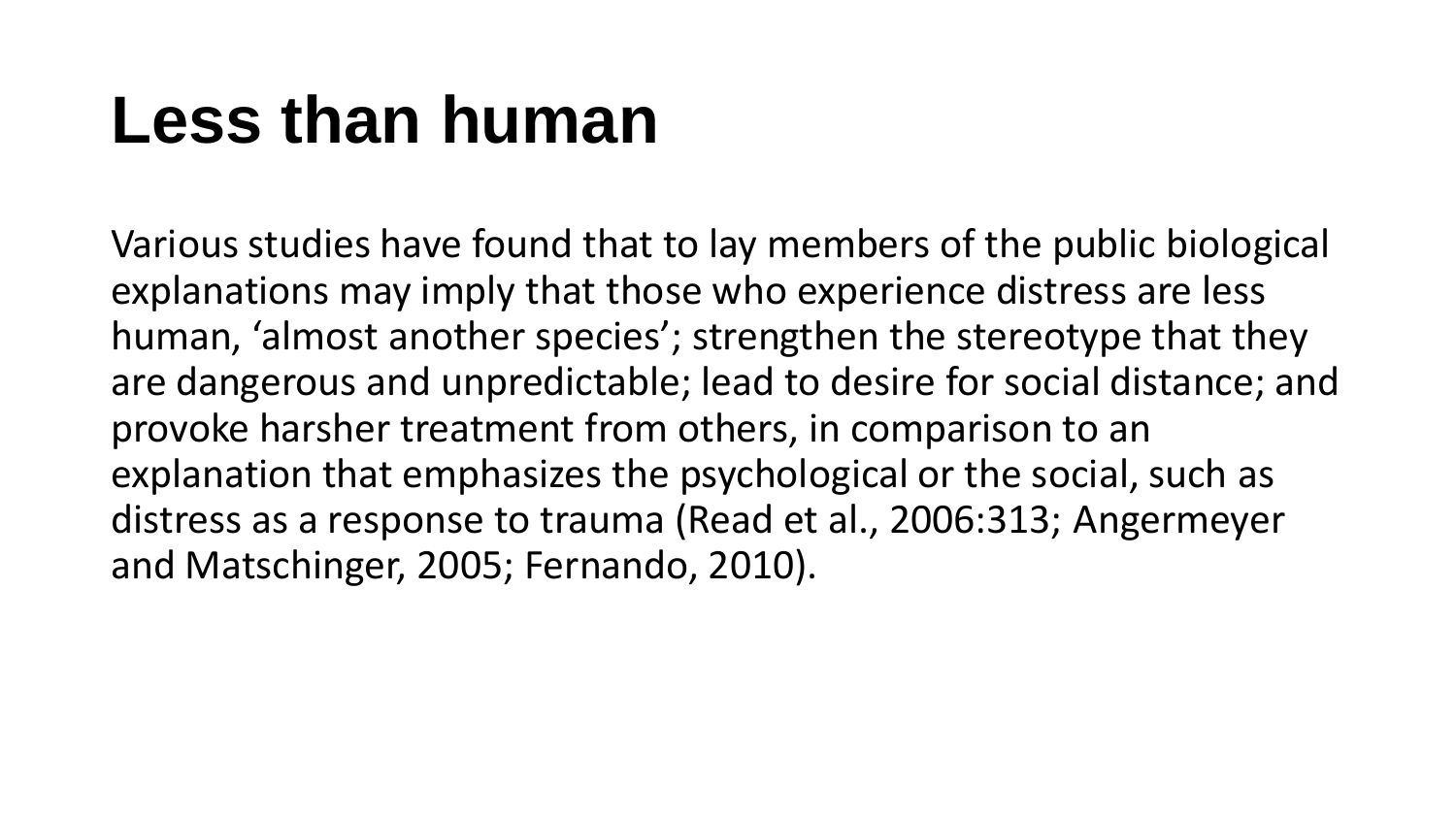# **Less than human**

Various studies have found that to lay members of the public biological explanations may imply that those who experience distress are less human, 'almost another species'; strengthen the stereotype that they are dangerous and unpredictable; lead to desire for social distance; and provoke harsher treatment from others, in comparison to an explanation that emphasizes the psychological or the social, such as distress as a response to trauma (Read et al., 2006:313; Angermeyer and Matschinger, 2005; Fernando, 2010).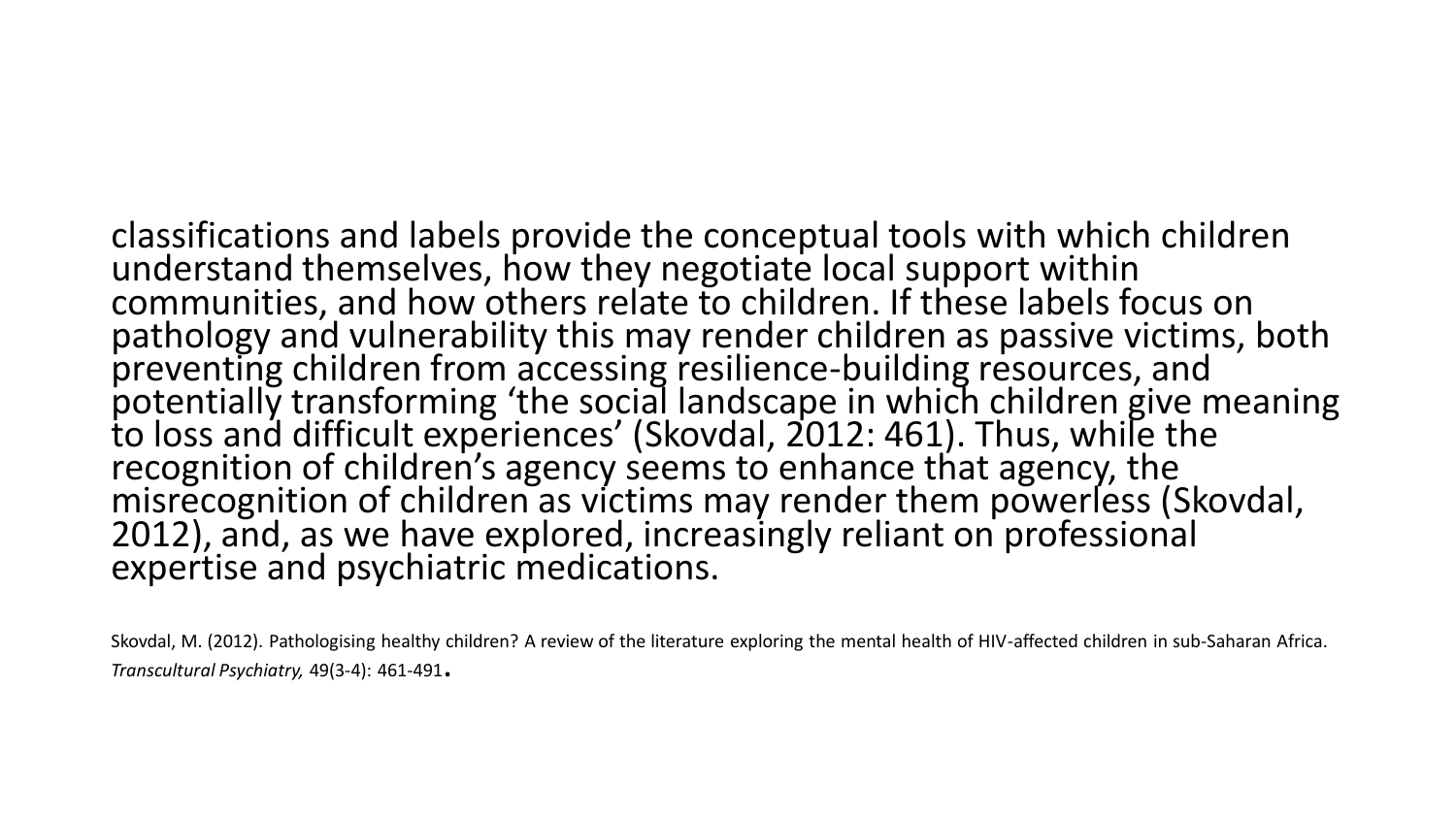classifications and labels provide the conceptual tools with which children understand themselves, how they negotiate local support within communities, and how others relate to children. If these labels focus on pathology and vulnerability this may render children as passive victims, both preventing children from accessing resilience-building resources, and potentially transforming 'the social landscape in which children give meaning to loss and difficult experiences' (Skovdal, 2012: 461). Thus, while the recognition of children's agency seems to enhance that agency, the misrecognition of children as victims may render them powerless (Skovdal, 2012), and, as we have explored, increasingly reliant on professional expertise and psychiatric medications.

Skovdal, M. (2012). Pathologising healthy children? A review of the literature exploring the mental health of HIV-affected children in sub-Saharan Africa. *Transcultural Psychiatry,* 49(3-4): 461-491.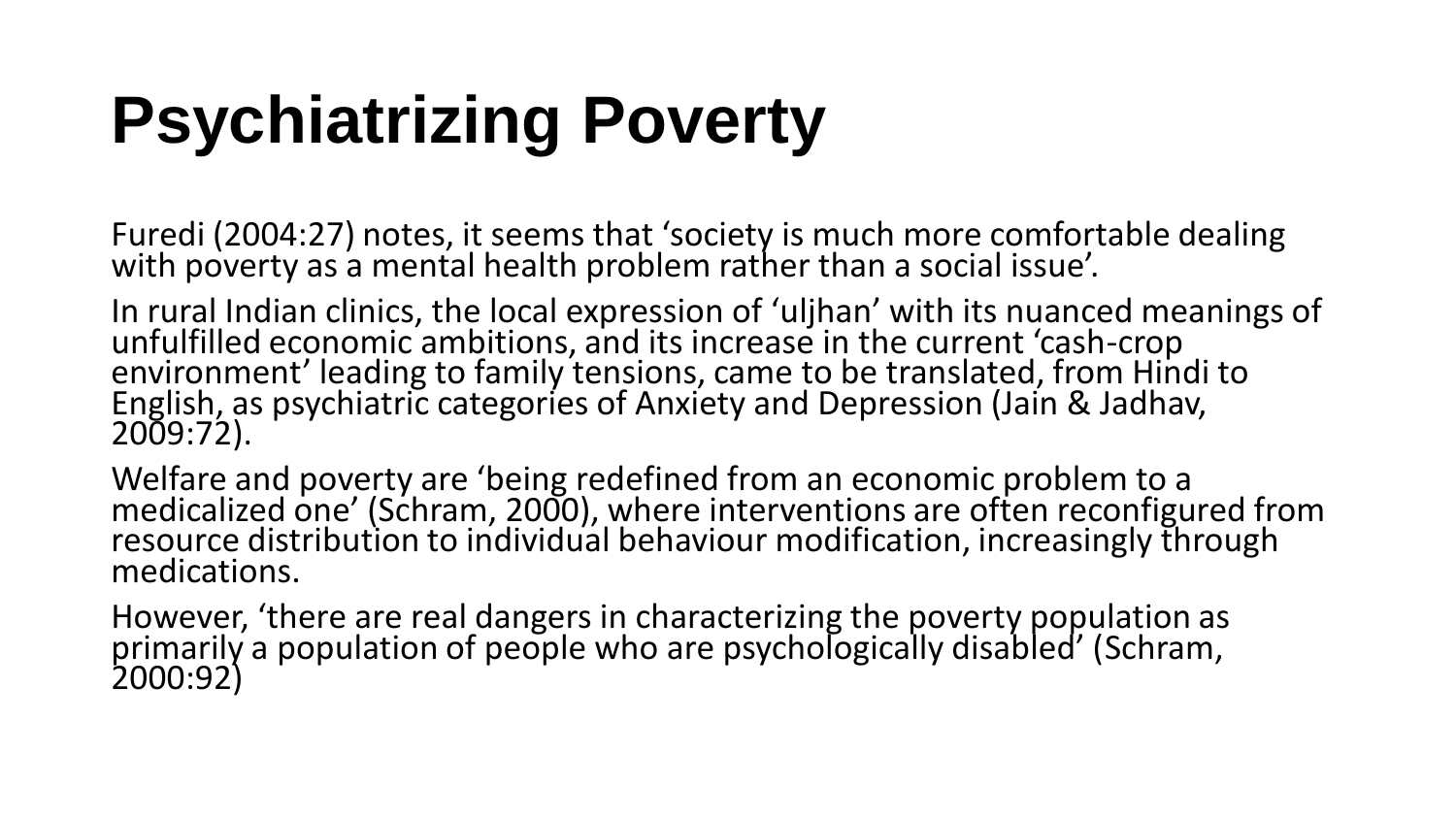# **Psychiatrizing Poverty**

Furedi (2004:27) notes, it seems that 'society is much more comfortable dealing with poverty as a mental health problem rather than a social issue'.

In rural Indian clinics, the local expression of 'uljhan' with its nuanced meanings of unfulfilled economic ambitions, and its increase in the current 'cash-crop environment' leading to family tensions, came to be translated, from Hindi to English, as psychiatric categories of Anxiety and Depression (Jain & Jadhav, 2009:72).

Welfare and poverty are 'being redefined from an economic problem to a medicalized one' (Schram, 2000), where interventions are often reconfigured from resource distribution to individual behaviour modification, increasingly through medications.

However, 'there are real dangers in characterizing the poverty population as primarily a population of people who are psychologically disabled' (Schram, 2000:92)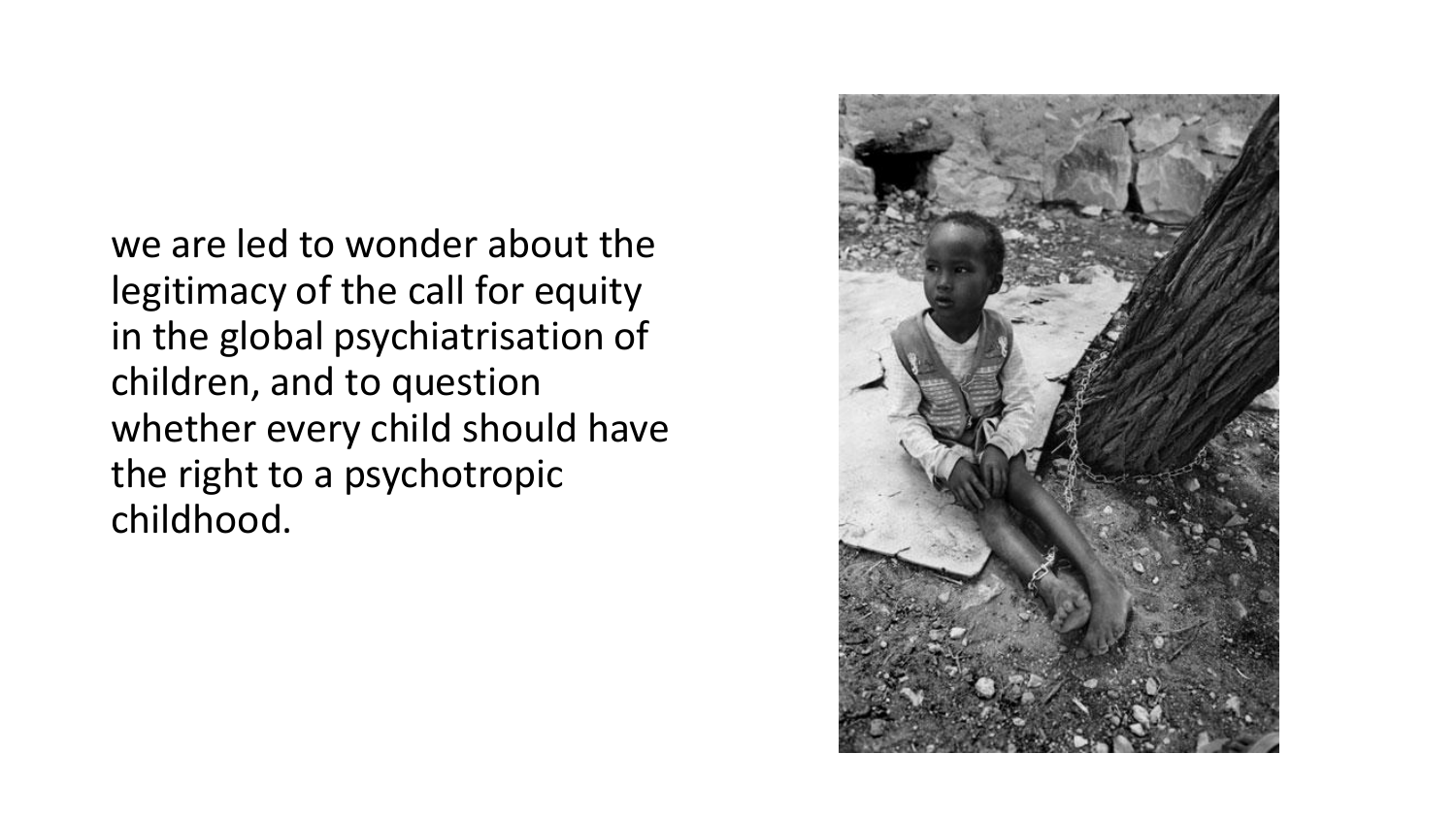we are led to wonder about the legitimacy of the call for equity in the global psychiatrisation of children, and to question whether every child should have the right to a psychotropic childhood.